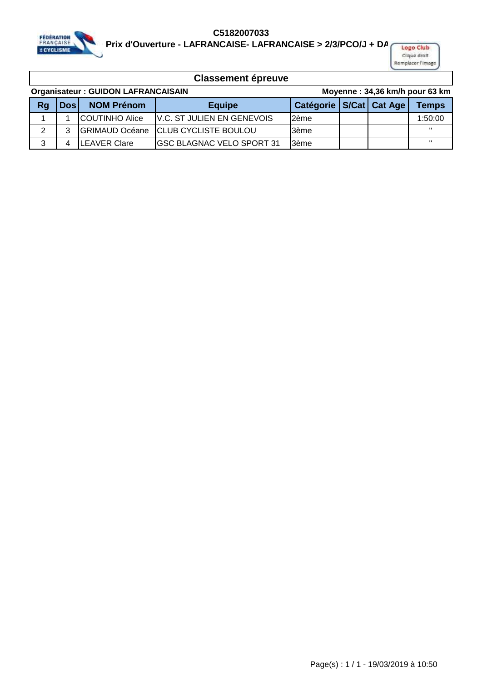

**C5182007033**  EDERATION<br>FRANÇAISE PRIX d'Ouverture - LAFRANCAISE- LAFRANCAISE > 2/3/PCO/J + DAMES Club

Clique droit Remplacer l'Image

| <b>Organisateur: GUIDON LAFRANCAISAIN</b> |            |                        |                                    | Moyenne: 34,36 km/h pour 63 km |  |  |                   |
|-------------------------------------------|------------|------------------------|------------------------------------|--------------------------------|--|--|-------------------|
| Rg                                        | <b>Dos</b> | <b>NOM Prénom</b>      | <b>Equipe</b>                      | Catégorie   S/Cat   Cat Age    |  |  | <b>Temps</b>      |
|                                           |            | <b>ICOUTINHO Alice</b> | <b>IV.C. ST JULIEN EN GENEVOIS</b> | 2ème                           |  |  | 1:50:00           |
| ົ                                         | 3          | <b>IGRIMAUD Océane</b> | <b>CLUB CYCLISTE BOULOU</b>        | 3ème                           |  |  | $\mathbf{H}$      |
| 3                                         |            | <b>ILEAVER Clare</b>   | <b>IGSC BLAGNAC VELO SPORT 31</b>  | l3ème                          |  |  | $^{\prime\prime}$ |
|                                           |            |                        |                                    |                                |  |  |                   |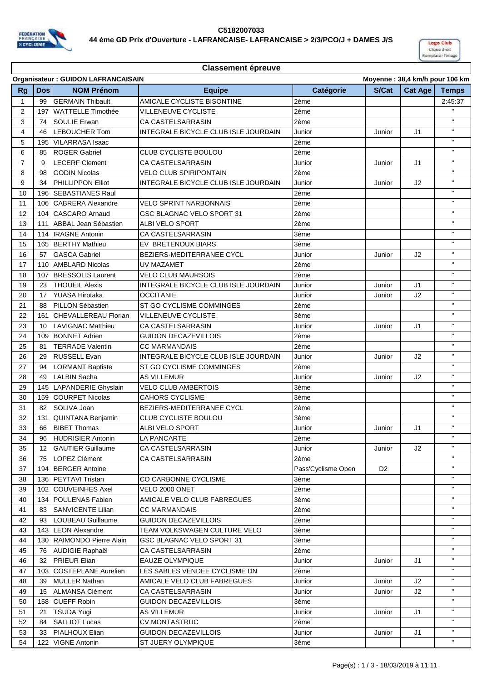



## **Classement épreuve**

|                | <b>Organisateur: GUIDON LAFRANCAISAIN</b><br>Moyenne: 38,4 km/h pour 106 km |                             |                                             |                    |                |         |                    |
|----------------|-----------------------------------------------------------------------------|-----------------------------|---------------------------------------------|--------------------|----------------|---------|--------------------|
| <b>Rg</b>      | <b>Dos</b>                                                                  | <b>NOM Prénom</b>           | <b>Equipe</b>                               | Catégorie          | S/Cat          | Cat Age | <b>Temps</b>       |
| $\mathbf{1}$   | 99                                                                          | <b>GERMAIN Thibault</b>     | AMICALE CYCLISTE BISONTINE                  | 2ème               |                |         | 2:45:37            |
| $\overline{2}$ | 197                                                                         | <b>WATTELLE Timothée</b>    | <b>VILLENEUVE CYCLISTE</b>                  | 2ème               |                |         |                    |
| 3              | 74                                                                          | <b>SOULIE Erwan</b>         | CA CASTELSARRASIN                           | 2ème               |                |         | $\mathbf{H}$       |
| 4              | 46                                                                          | <b>LEBOUCHER Tom</b>        | <b>INTEGRALE BICYCLE CLUB ISLE JOURDAIN</b> | Junior             | Junior         | J1      | $\mathbf{H}$       |
| 5              | 195                                                                         | <b>VILARRASA Isaac</b>      |                                             | 2ème               |                |         | $\mathbf{H}$       |
| 6              | 85                                                                          | <b>ROGER Gabriel</b>        | CLUB CYCLISTE BOULOU                        | 2ème               |                |         | $\mathbf{H}$       |
| $\overline{7}$ | 9                                                                           | <b>LECERF Clement</b>       | <b>CA CASTELSARRASIN</b>                    | Junior             | Junior         | J1      | $\mathbf{H}$       |
| 8              | 98                                                                          | <b>GODIN Nicolas</b>        | <b>VELO CLUB SPIRIPONTAIN</b>               | 2ème               |                |         | $\mathbf{H}$       |
| 9              | 34                                                                          | PHILLIPPON Elliot           | INTEGRALE BICYCLE CLUB ISLE JOURDAIN        | Junior             | Junior         | J2      | $\mathbf{H}$       |
| 10             | 196                                                                         | <b>SEBASTIANES Raul</b>     |                                             | 2ème               |                |         | $\bar{\mathbf{u}}$ |
| 11             | 106                                                                         | <b>CABRERA Alexandre</b>    | <b>VELO SPRINT NARBONNAIS</b>               | 2ème               |                |         | $\mathbf{H}$       |
| 12             | 104                                                                         | <b>CASCARO</b> Arnaud       | <b>GSC BLAGNAC VELO SPORT 31</b>            | 2ème               |                |         | п.                 |
| 13             | 111                                                                         | <b>ABBAL Jean Sébastien</b> | <b>ALBI VELO SPORT</b>                      | 2ème               |                |         | $\mathbf{H}$       |
| 14             | 114                                                                         | <b>IRAGNE Antonin</b>       | CA CASTELSARRASIN                           | 3ème               |                |         | $\mathbf{H}$       |
| 15             | 165                                                                         | <b>BERTHY Mathieu</b>       | EV BRETENOUX BIARS                          | 3ème               |                |         | $\mathbf{H}$       |
| 16             | 57                                                                          | <b>GASCA Gabriel</b>        | BEZIERS-MEDITERRANEE CYCL                   | Junior             | Junior         | J2      | $\mathbf{H}$       |
| 17             | 110                                                                         | <b>AMBLARD Nicolas</b>      | UV MAZAMET                                  | 2ème               |                |         | $\mathbf{H}$       |
| 18             | 107                                                                         | <b>BRESSOLIS Laurent</b>    | <b>VELO CLUB MAURSOIS</b>                   | 2ème               |                |         | $\mathbf{H}$       |
| 19             | 23                                                                          | <b>THOUEIL Alexis</b>       | INTEGRALE BICYCLE CLUB ISLE JOURDAIN        | Junior             | Junior         | J1      | $\mathbf{H}$       |
| 20             | 17                                                                          | YUASA Hirotaka              | <b>OCCITANIE</b>                            | Junior             | Junior         | J2      | $\mathbf{H}$       |
| 21             | 88                                                                          | PILLON Sébastien            | ST GO CYCLISME COMMINGES                    | 2ème               |                |         | $\mathbf{H}$       |
| 22             | 161                                                                         | <b>CHEVALLEREAU Florian</b> | <b>VILLENEUVE CYCLISTE</b>                  | 3ème               |                |         | $\mathbf{H}$       |
| 23             | 10                                                                          | <b>LAVIGNAC Matthieu</b>    | CA CASTELSARRASIN                           | Junior             | Junior         | J1      | $\mathbf{H}$       |
| 24             | 109                                                                         | <b>BONNET Adrien</b>        | <b>GUIDON DECAZEVILLOIS</b>                 | 2ème               |                |         | $\mathbf{H}$       |
| 25             | 81                                                                          | <b>TERRADE Valentin</b>     | CC MARMANDAIS                               | 2ème               |                |         | $\mathbf{u}$       |
| 26             | 29                                                                          | <b>RUSSELL Evan</b>         | INTEGRALE BICYCLE CLUB ISLE JOURDAIN        | Junior             | Junior         | J2      | $\mathbf{H}$       |
| 27             | 94                                                                          | <b>LORMANT Baptiste</b>     | ST GO CYCLISME COMMINGES                    | 2ème               |                |         | $\mathbf{u}$       |
| 28             | 49                                                                          | <b>LALBIN Sacha</b>         | <b>AS VILLEMUR</b>                          | Junior             | Junior         | J2      | $\mathbf{H}$       |
| 29             | 145                                                                         | <b>LAPANDERIE Ghyslain</b>  | <b>VELO CLUB AMBERTOIS</b>                  | 3ème               |                |         | $\mathbf{H}$       |
| 30             | 159                                                                         | <b>COURPET Nicolas</b>      | <b>CAHORS CYCLISME</b>                      | 3ème               |                |         | $\mathbf{H}$       |
| 31             | 82                                                                          | SOLIVA Joan                 | BEZIERS-MEDITERRANEE CYCL                   | 2ème               |                |         | $\mathbf{H}$       |
| 32             | 131                                                                         | <b>QUINTANA Benjamin</b>    | <b>CLUB CYCLISTE BOULOU</b>                 | 3ème               |                |         | $\mathbf{H}$       |
| 33             | 66                                                                          | <b>BIBET Thomas</b>         | ALBI VELO SPORT                             | Junior             | Junior         | J1      | $\mathbf{H}$       |
| 34             | 96                                                                          | <b>HUDRISIER Antonin</b>    | LA PANCARTE                                 | 2ème               |                |         | $\mathbf{H}$ .     |
| 35             | 12                                                                          | <b>GAUTIER Guillaume</b>    | CA CASTELSARRASIN                           | Junior             | Junior         | J2      |                    |
| 36             | 75                                                                          | <b>LOPEZ Clément</b>        | CA CASTELSARRASIN                           | 2ème               |                |         |                    |
| 37             | 194                                                                         | <b>BERGER Antoine</b>       |                                             | Pass'Cyclisme Open | D <sub>2</sub> |         | н.                 |
| 38             | 136                                                                         | PEYTAVI Tristan             | CO CARBONNE CYCLISME                        | 3ème               |                |         | $\mathbf H$        |
| 39             | 102                                                                         | <b>COUVEINHES Axel</b>      | VELO 2000 ONET                              | 2ème               |                |         | н.                 |
| 40             | 134                                                                         | <b>POULENAS Fabien</b>      | AMICALE VELO CLUB FABREGUES                 | 3ème               |                |         | $\mathbf{H}$       |
| 41             | 83                                                                          | <b>SANVICENTE Lilian</b>    | <b>CC MARMANDAIS</b>                        | 2ème               |                |         | $\mathbf{H}$       |
| 42             | 93                                                                          | <b>LOUBEAU Guillaume</b>    | <b>GUIDON DECAZEVILLOIS</b>                 | 2ème               |                |         | $\mathbf{H}$       |
| 43             | 143                                                                         | <b>LEON Alexandre</b>       | TEAM VOLKSWAGEN CULTURE VELO                | 3ème               |                |         | $\mathbf{H}$ .     |
| 44             | 130                                                                         | RAIMONDO Pierre Alain       | GSC BLAGNAC VELO SPORT 31                   | 3ème               |                |         | п.                 |
| 45             | 76                                                                          | <b>AUDIGIE Raphaël</b>      | CA CASTELSARRASIN                           | 2ème               |                |         | $\mathbf{H}$       |
| 46             | 32                                                                          | <b>PRIEUR Elian</b>         | <b>EAUZE OLYMPIQUE</b>                      | Junior             | Junior         | J1      |                    |
| 47             | 103                                                                         | <b>COSTEPLANE Aurelien</b>  | LES SABLES VENDEE CYCLISME DN               | 2ème               |                |         | $\mathbf H$        |
| 48             | 39                                                                          | <b>MULLER Nathan</b>        | AMICALE VELO CLUB FABREGUES                 | Junior             | Junior         | J2      | $\mathbf H$        |
| 49             | 15                                                                          | <b>ALMANSA Clément</b>      | CA CASTELSARRASIN                           | Junior             | Junior         | J2      | $\mathbf{H}$       |
| 50             | 158                                                                         | <b>CUEFF Robin</b>          | <b>GUIDON DECAZEVILLOIS</b>                 | 3ème               |                |         | $\mathbf{H}$       |
| 51             | 21                                                                          | <b>TSUDA Yugi</b>           | <b>AS VILLEMUR</b>                          | Junior             | Junior         | J1      | $\mathbf{H}$       |
| 52             | 84                                                                          | <b>SALLIOT Lucas</b>        | <b>CV MONTASTRUC</b>                        | 2ème               |                |         | $\mathbf{H}$       |
| 53             | 33                                                                          | <b>PIALHOUX Elian</b>       | <b>GUIDON DECAZEVILLOIS</b>                 | Junior             | Junior         | J1      | $\mathbf{H}$ .     |
| 54             | 122                                                                         | <b>VIGNE Antonin</b>        | <b>ST JUERY OLYMPIQUE</b>                   | 3ème               |                |         |                    |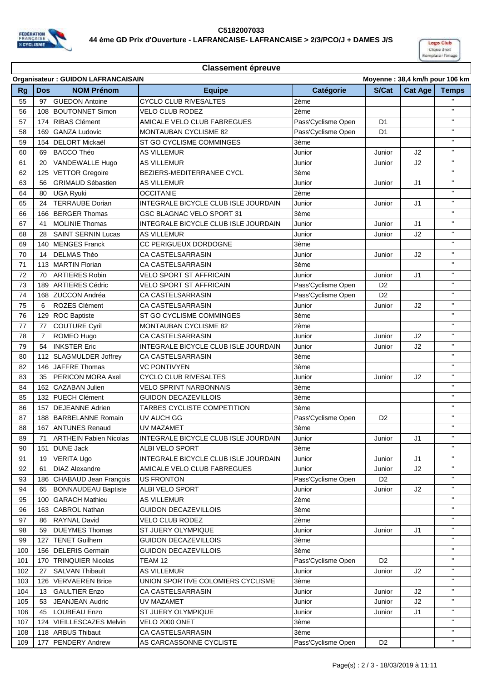



## **Classement épreuve**

|           | <b>Organisateur: GUIDON LAFRANCAISAIN</b> |                             |                                      |                    |                | Moyenne: 38,4 km/h pour 106 km |                       |  |  |
|-----------|-------------------------------------------|-----------------------------|--------------------------------------|--------------------|----------------|--------------------------------|-----------------------|--|--|
| <b>Rg</b> | <b>Dos</b>                                | <b>NOM Prénom</b>           | <b>Equipe</b>                        | Catégorie          | S/Cat          | Cat Age                        | <b>Temps</b>          |  |  |
| 55        | 97                                        | <b>GUEDON Antoine</b>       | <b>CYCLO CLUB RIVESALTES</b>         | 2ème               |                |                                |                       |  |  |
| 56        | 108                                       | <b>BOUTONNET Simon</b>      | <b>VELO CLUB RODEZ</b>               | 2ème               |                |                                | $\mathbf{H}$          |  |  |
| 57        | 174                                       | <b>RIBAS Clément</b>        | AMICALE VELO CLUB FABREGUES          | Pass'Cyclisme Open | D <sub>1</sub> |                                | $\mathbf{H}$          |  |  |
| 58        | 169                                       | <b>GANZA Ludovic</b>        | MONTAUBAN CYCLISME 82                | Pass'Cyclisme Open | D <sub>1</sub> |                                | $\mathbf{H}$          |  |  |
| 59        | 154                                       | <b>DELORT Mickaël</b>       | ST GO CYCLISME COMMINGES             | 3ème               |                |                                | п.                    |  |  |
| 60        | 69                                        | <b>BACCO Théo</b>           | <b>AS VILLEMUR</b>                   | Junior             | Junior         | J2                             | $\mathbf{H}$          |  |  |
| 61        | 20                                        | VANDEWALLE Hugo             | AS VILLEMUR                          | Junior             | Junior         | J2                             | $\mathbf{H}$          |  |  |
| 62        | 125                                       | <b>VETTOR Gregoire</b>      | BEZIERS-MEDITERRANEE CYCL            | 3ème               |                |                                | $\mathbf{H}$          |  |  |
| 63        | 56                                        | <b>GRIMAUD Sébastien</b>    | <b>AS VILLEMUR</b>                   | Junior             | Junior         | J1                             | $\mathbf{H}$          |  |  |
| 64        | 80                                        | <b>UGA Ryuki</b>            | <b>OCCITANIE</b>                     | 2ème               |                |                                | п.                    |  |  |
| 65        | 24                                        | <b>TERRAUBE Dorian</b>      | INTEGRALE BICYCLE CLUB ISLE JOURDAIN | Junior             | Junior         | J1                             | $\mathbf{H}$          |  |  |
| 66        | 166                                       | <b>BERGER Thomas</b>        | GSC BLAGNAC VELO SPORT 31            | 3ème               |                |                                | $\mathbf{H}$          |  |  |
| 67        | 41                                        | <b>MOLINIE Thomas</b>       | INTEGRALE BICYCLE CLUB ISLE JOURDAIN | Junior             | Junior         | J1                             | $\mathbf{H}$          |  |  |
| 68        | 28                                        | <b>SAINT SERNIN Lucas</b>   | <b>AS VILLEMUR</b>                   | Junior             | Junior         | J2                             | $\mathbf{H}$          |  |  |
| 69        | 140                                       | <b>MENGES Franck</b>        | CC PERIGUEUX DORDOGNE                | 3ème               |                |                                | $\mathbf{u}$          |  |  |
| 70        | 14                                        | <b>DELMAS Théo</b>          | CA CASTELSARRASIN                    | Junior             | Junior         | J2                             | $\mathbf{H}$          |  |  |
| 71        | 113                                       | <b>MARTIN Florian</b>       | CA CASTELSARRASIN                    | 3ème               |                |                                | $\mathbf{H}$          |  |  |
| 72        | 70                                        | <b>ARTIERES Robin</b>       | <b>VELO SPORT ST AFFRICAIN</b>       | Junior             | Junior         | J1                             | $\mathbf{H}$          |  |  |
| 73        | 189                                       | <b>ARTIERES Cédric</b>      | <b>VELO SPORT ST AFFRICAIN</b>       | Pass'Cyclisme Open | D <sub>2</sub> |                                | $\mathbf{H}$          |  |  |
| 74        | 168                                       | <b>ZUCCON Andréa</b>        | CA CASTELSARRASIN                    | Pass'Cyclisme Open | D <sub>2</sub> |                                | п.                    |  |  |
| 75        | 6                                         | ROZES Clément               | CA CASTELSARRASIN                    | Junior             | Junior         | J2                             | $\mathbf{H}$          |  |  |
| 76        | 129                                       | <b>ROC Baptiste</b>         | ST GO CYCLISME COMMINGES             | 3ème               |                |                                | $\mathbf{H}$          |  |  |
| 77        | 77                                        | <b>COUTURE Cyril</b>        | <b>MONTAUBAN CYCLISME 82</b>         | 2ème               |                |                                | $\mathbf{H}$          |  |  |
| 78        | $\overline{7}$                            | ROMEO Hugo                  | CA CASTELSARRASIN                    | Junior             | Junior         | J2                             | $\mathbf{H}$          |  |  |
| 79        | 54                                        | <b>INKSTER Eric</b>         | INTEGRALE BICYCLE CLUB ISLE JOURDAIN | Junior             | Junior         | J2                             | $\mathbf{u}$          |  |  |
| 80        | 112                                       | SLAGMULDER Joffrey          | CA CASTELSARRASIN                    | 3ème               |                |                                | $\mathbf{H}$          |  |  |
| 82        | 146                                       | JAFFRE Thomas               | <b>VC PONTIVYEN</b>                  | 3ème               |                |                                | $\mathbf{H}$          |  |  |
| 83        | 35                                        | <b>PERICON MORA Axel</b>    | <b>CYCLO CLUB RIVESALTES</b>         | Junior             | Junior         | J2                             | $\mathbf{H}$          |  |  |
| 84        | 162                                       | <b>CAZABAN Julien</b>       | <b>VELO SPRINT NARBONNAIS</b>        | 3ème               |                |                                | $\mathbf{H}$          |  |  |
| 85        | 132                                       | <b>PUECH Clément</b>        | <b>GUIDON DECAZEVILLOIS</b>          | 3ème               |                |                                | п.                    |  |  |
| 86        | 157                                       | <b>DEJEANNE Adrien</b>      | TARBES CYCLISTE COMPETITION          | 3ème               |                |                                | $\mathbf{H}$          |  |  |
| 87        | 188                                       | BARBELANNE Romain           | UV AUCH GG                           | Pass'Cyclisme Open | D <sub>2</sub> |                                | $\mathbf{H}$          |  |  |
| 88        |                                           | 167 ANTUNES Renaud          | UV MAZAMET                           | 3ème               |                |                                | $\mathbf{H}$          |  |  |
| 89        |                                           | 71 ARTHEIN Fabien Nicolas   | INTEGRALE BICYCLE CLUB ISLE JOURDAIN | Junior             | Junior         | J1                             | $\mathbf{H}$ .        |  |  |
| 90        | 151                                       | <b>DUNE Jack</b>            | ALBI VELO SPORT                      | 3ème               |                |                                |                       |  |  |
| 91        | 19                                        | <b>VERITA Ugo</b>           | INTEGRALE BICYCLE CLUB ISLE JOURDAIN | Junior             | Junior         | J1                             | $\mathbf{H}$          |  |  |
| 92        | 61                                        | <b>DIAZ Alexandre</b>       | AMICALE VELO CLUB FABREGUES          | Junior             | Junior         | J2                             | п.                    |  |  |
| 93        | 186                                       | CHABAUD Jean François       | <b>US FRONTON</b>                    | Pass'Cyclisme Open | D <sub>2</sub> |                                | $\mathbf H$           |  |  |
| 94        | 65                                        | <b>BONNAUDEAU Baptiste</b>  | ALBI VELO SPORT                      | Junior             | Junior         | J2                             | H.                    |  |  |
| 95        | 100                                       | <b>GARACH Mathieu</b>       | <b>AS VILLEMUR</b>                   | 2ème               |                |                                | н.                    |  |  |
| 96        | 163                                       | <b>CABROL Nathan</b>        | <b>GUIDON DECAZEVILLOIS</b>          | 3ème               |                |                                | н.                    |  |  |
| 97        | 86                                        | <b>RAYNAL David</b>         | VELO CLUB RODEZ                      | 2ème               |                |                                | $\mathbf{H}$          |  |  |
| 98        | 59                                        | <b>DUEYMES Thomas</b>       | ST JUERY OLYMPIQUE                   | Junior             | Junior         | J1                             | $\mathbf{H}$ .        |  |  |
| 99        | 127                                       | <b>TENET Guilhem</b>        | <b>GUIDON DECAZEVILLOIS</b>          | 3ème               |                |                                | н.                    |  |  |
| 100       | 156                                       | <b>DELERIS Germain</b>      | <b>GUIDON DECAZEVILLOIS</b>          | 3ème               |                |                                | $\mathbf{u}$          |  |  |
| 101       | 170                                       | <b>TRINQUIER Nicolas</b>    | TEAM 12                              | Pass'Cyclisme Open | D <sub>2</sub> |                                | п.                    |  |  |
| 102       | 27                                        | <b>SALVAN Thibault</b>      | <b>AS VILLEMUR</b>                   | Junior             | Junior         | J2                             | п.                    |  |  |
| 103       | 126                                       | <b>VERVAEREN Brice</b>      | UNION SPORTIVE COLOMIERS CYCLISME    | 3ème               |                |                                | $\mathbf H$           |  |  |
| 104       | 13                                        | <b>GAULTIER Enzo</b>        | CA CASTELSARRASIN                    | Junior             | Junior         | J2                             | п.                    |  |  |
| 105       | 53                                        | <b>JEANJEAN Audric</b>      | UV MAZAMET                           | Junior             | Junior         | J2                             | н.                    |  |  |
| 106       | 45                                        | <b>LOUBEAU Enzo</b>         | ST JUERY OLYMPIQUE                   | Junior             | Junior         | J1                             | $\mathbf{H}$          |  |  |
| 107       | 124                                       | <b>VIEILLESCAZES Melvin</b> | VELO 2000 ONET                       | 3ème               |                |                                | $\mathbf{H}^{\prime}$ |  |  |
| 108       |                                           | 118 ARBUS Thibaut           | CA CASTELSARRASIN                    | 3ème               |                |                                | $\mathbf{H}$ .        |  |  |
| 109       | 177                                       | <b>PENDERY Andrew</b>       | AS CARCASSONNE CYCLISTE              | Pass'Cyclisme Open | D <sub>2</sub> |                                | н.                    |  |  |